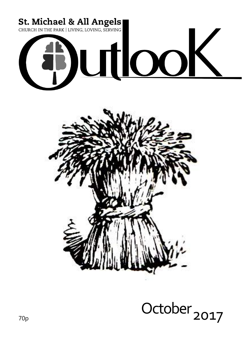

## October  $\text{UCDDF}$  2017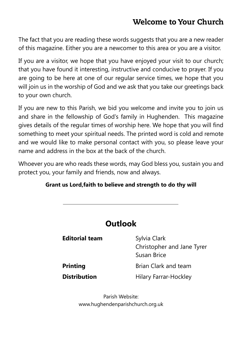## **Welcome to Your Church**

The fact that you are reading these words suggests that you are a new reader of this magazine. Either you are a newcomer to this area or you are a visitor.

If you are a visitor, we hope that you have enjoyed your visit to our church; that you have found it interesting, instructive and conducive to prayer. If you are going to be here at one of our regular service times, we hope that you will join us in the worship of God and we ask that you take our greetings back to your own church.

If you are new to this Parish, we bid you welcome and invite you to join us and share in the fellowship of God's family in Hughenden. This magazine gives details of the regular times of worship here. We hope that you will find something to meet your spiritual needs. The printed word is cold and remote and we would like to make personal contact with you, so please leave your name and address in the box at the back of the church.

Whoever you are who reads these words, may God bless you, sustain you and protect you, your family and friends, now and always.

### **Grant us Lord,faith to believe and strength to do thy will**

|                       | <b>Outlook</b>                                            |
|-----------------------|-----------------------------------------------------------|
| <b>Editorial team</b> | Sylvia Clark<br>Christopher and Jane Tyrer<br>Susan Brice |
| <b>Printing</b>       | <b>Brian Clark and team</b>                               |
| <b>Distribution</b>   | <b>Hilary Farrar-Hockley</b>                              |

Parish Website: www.hughendenparishchurch.org.uk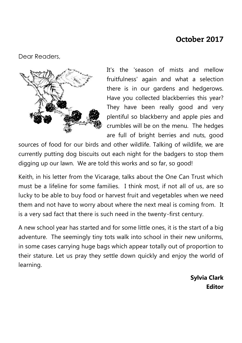## October 2017

Dear Readers,



It's the 'season of mists and mellow fruitfulness' again and what a selection there is in our gardens and hedgerows. Have you collected blackberries this year? They have been really good and very plentiful so blackberry and apple pies and crumbles will be on the menu. The hedges are full of bright berries and nuts, good

sources of food for our birds and other wildlife. Talking of wildlife, we are currently putting dog biscuits out each night for the badgers to stop them digging up our lawn. We are told this works and so far, so good!

Keith, in his letter from the Vicarage, talks about the One Can Trust which must be a lifeline for some families. I think most, if not all of us, are so lucky to be able to buy food or harvest fruit and vegetables when we need them and not have to worry about where the next meal is coming from. It is a very sad fact that there is such need in the twenty-first century.

A new school year has started and for some little ones, it is the start of a big adventure. The seemingly tiny tots walk into school in their new uniforms, in some cases carrying huge bags which appear totally out of proportion to their stature. Let us pray they settle down quickly and enjoy the world of learning.

> **Sylvia Clark Editor**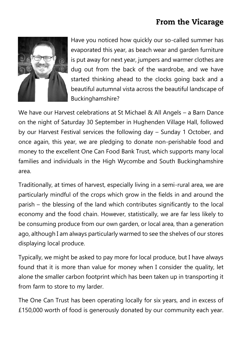## **From the Vicarage**



Have you noticed how quickly our so-called summer has evaporated this year, as beach wear and garden furniture is put away for next year, jumpers and warmer clothes are dug out from the back of the wardrobe, and we have started thinking ahead to the clocks going back and a beautiful autumnal vista across the beautiful landscape of Buckinghamshire?

We have our Harvest celebrations at St Michael & All Angels – a Barn Dance on the night of Saturday 30 September in Hughenden Village Hall, followed by our Harvest Festival services the following day – Sunday 1 October, and once again, this year, we are pledging to donate non-perishable food and money to the excellent One Can Food Bank Trust, which supports many local families and individuals in the High Wycombe and South Buckinghamshire area.

Traditionally, at times of harvest, especially living in a semi-rural area, we are particularly mindful of the crops which grow in the fields in and around the parish – the blessing of the land which contributes significantly to the local economy and the food chain. However, statistically, we are far less likely to be consuming produce from our own garden, or local area, than a generation ago, although I am always particularly warmed to see the shelves of our stores displaying local produce.

Typically, we might be asked to pay more for local produce, but I have always found that it is more than value for money when I consider the quality, let alone the smaller carbon footprint which has been taken up in transporting it from farm to store to my larder.

The One Can Trust has been operating locally for six years, and in excess of £150,000 worth of food is generously donated by our community each year.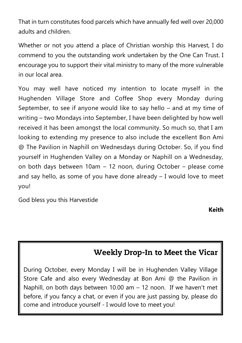That in turn constitutes food parcels which have annually fed well over 20,000 adults and children.

Whether or not you attend a place of Christian worship this Harvest, I do commend to you the outstanding work undertaken by the One Can Trust. I encourage you to support their vital ministry to many of the more vulnerable in our local area.

You may well have noticed my intention to locate myself in the Hughenden Village Store and Coffee Shop every Monday during September, to see if anyone would like to say hello – and at my time of writing – two Mondays into September, I have been delighted by how well received it has been amongst the local community. So much so, that I am looking to extending my presence to also include the excellent Bon Ami @ The Pavilion in Naphill on Wednesdays during October. So, if you find yourself in Hughenden Valley on a Monday or Naphill on a Wednesday, on both days between 10am – 12 noon, during October – please come and say hello, as some of you have done already – I would love to meet you!

God bless you this Harvestide

**Keith**

## **Weekly Drop-In to Meet the Vicar**

During October, every Monday I will be in Hughenden Valley Village Store Cafe and also every Wednesday at Bon Ami @ the Pavilion in Naphill, on both days between 10.00 am – 12 noon. If we haven't met before, if you fancy a chat, or even if you are just passing by, please do come and introduce yourself - I would love to meet you!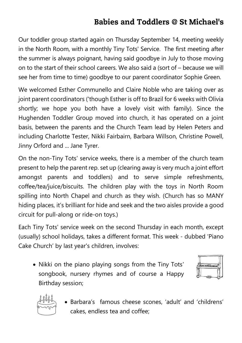## **Babies and Toddlers @ St Michael's**

Our toddler group started again on Thursday September 14, meeting weekly in the North Room, with a monthly Tiny Tots' Service. The first meeting after the summer is always poignant, having said goodbye in July to those moving on to the start of their school careers. We also said a (sort of – because we will see her from time to time) goodbye to our parent coordinator Sophie Green.

We welcomed Esther Communello and Claire Noble who are taking over as joint parent coordinators ('though Esther is off to Brazil for 6 weeks with Olivia shortly; we hope you both have a lovely visit with family). Since the Hughenden Toddler Group moved into church, it has operated on a joint basis, between the parents and the Church Team lead by Helen Peters and including Charlotte Tester, Nikki Fairbairn, Barbara Willson, Christine Powell, Jinny Orford and ... Jane Tyrer.

On the non-Tiny Tots' service weeks, there is a member of the church team present to help the parent rep. set up (clearing away is very much a joint effort amongst parents and toddlers) and to serve simple refreshments, coffee/tea/juice/biscuits. The children play with the toys in North Room spilling into North Chapel and church as they wish. (Church has so MANY hiding places, it's brilliant for hide and seek and the two aisles provide a good circuit for pull-along or ride-on toys.)

Each Tiny Tots' service week on the second Thursday in each month, except (usually) school holidays, takes a different format. This week - dubbed 'Piano Cake Church' by last year's children, involves:

• Nikki on the piano playing songs from the Tiny Tots' songbook, nursery rhymes and of course a Happy Birthday session;





 Barbara's famous cheese scones, 'adult' and 'childrens' cakes, endless tea and coffee;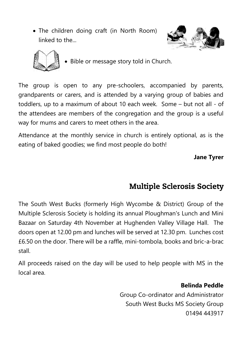The children doing craft (in North Room) linked to the...





• Bible or message story told in Church.

The group is open to any pre-schoolers, accompanied by parents, grandparents or carers, and is attended by a varying group of babies and toddlers, up to a maximum of about 10 each week. Some – but not all - of the attendees are members of the congregation and the group is a useful way for mums and carers to meet others in the area.

Attendance at the monthly service in church is entirely optional, as is the eating of baked goodies; we find most people do both!

**Jane Tyrer**

## **Multiple Sclerosis Society**

The South West Bucks (formerly High Wycombe & District) Group of the Multiple Sclerosis Society is holding its annual Ploughman's Lunch and Mini Bazaar on Saturday 4th November at Hughenden Valley Village Hall. The doors open at 12.00 pm and lunches will be served at 12.30 pm. Lunches cost £6.50 on the door. There will be a raffle, mini-tombola, books and bric-a-brac stall.

All proceeds raised on the day will be used to help people with MS in the local area.

**Belinda Peddle**

Group Co-ordinator and Administrator South West Bucks MS Society Group 01494 443917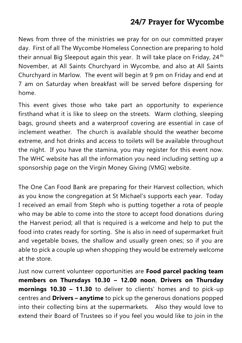## 24/7 Prayer for Wycombe

News from three of the ministries we pray for on our committed prayer day. First of all The Wycombe Homeless Connection are preparing to hold their annual Big Sleepout again this year. It will take place on Friday, 24<sup>th</sup> November, at All Saints Churchyard in Wycombe, and also at All Saints Churchyard in Marlow. The event will begin at 9 pm on Friday and end at 7 am on Saturday when breakfast will be served before dispersing for home.

This event gives those who take part an opportunity to experience firsthand what it is like to sleep on the streets. Warm clothing, sleeping bags, ground sheets and a waterproof covering are essential in case of inclement weather. The church is available should the weather become extreme, and hot drinks and access to toilets will be available throughout the night. If you have the stamina, you may register for this event now. The WHC website has all the information you need including setting up a sponsorship page on the Virgin Money Giving (VMG) website.

The One Can Food Bank are preparing for their Harvest collection, which as you know the congregation at St Michael's supports each year. Today I received an email from Steph who is putting together a rota of people who may be able to come into the store to accept food donations during the Harvest period; all that is required is a welcome and help to put the food into crates ready for sorting. She is also in need of supermarket fruit and vegetable boxes, the shallow and usually green ones; so if you are able to pick a couple up when shopping they would be extremely welcome at the store.

Just now current volunteer opportunities are **Food parcel packing team members on Thursdays 10.30 – 12.00 noon**, **Drivers on Thursday mornings 10.30 – 11.30** to deliver to clients' homes and to pick-up centres and **Drivers – anytime** to pick up the generous donations popped into their collecting bins at the supermarkets. Also they would love to extend their Board of Trustees so if you feel you would like to join in the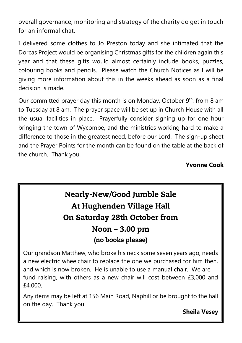overall governance, monitoring and strategy of the charity do get in touch for an informal chat.

I delivered some clothes to Jo Preston today and she intimated that the Dorcas Project would be organising Christmas gifts for the children again this year and that these gifts would almost certainly include books, puzzles, colouring books and pencils. Please watch the Church Notices as I will be giving more information about this in the weeks ahead as soon as a final decision is made.

Our committed prayer day this month is on Monday, October 9<sup>th</sup>, from 8 am to Tuesday at 8 am. The prayer space will be set up in Church House with all the usual facilities in place. Prayerfully consider signing up for one hour bringing the town of Wycombe, and the ministries working hard to make a difference to those in the greatest need, before our Lord. The sign-up sheet and the Prayer Points for the month can be found on the table at the back of the church. Thank you.

### **Yvonne Cook**

## **Nearly-New/Good Jumble Sale** At Hughenden Village Hall On Saturday 28th October from Noon - 3.00 pm (no books please)

Our grandson Matthew, who broke his neck some seven years ago, needs a new electric wheelchair to replace the one we purchased for him then, and which is now broken. He is unable to use a manual chair. We are fund raising, with others as a new chair will cost between £3,000 and £4,000.

Any items may be left at 156 Main Road, Naphill or be brought to the hall on the day. Thank you.

**Sheila Vesey**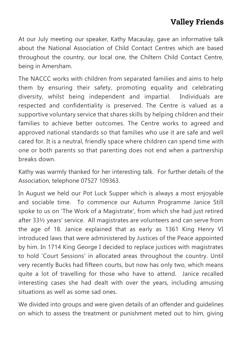## **Valley Friends**

At our July meeting our speaker, Kathy Macaulay, gave an informative talk about the National Association of Child Contact Centres which are based throughout the country, our local one, the Chiltern Child Contact Centre, being in Amersham.

The NACCC works with children from separated families and aims to help them by ensuring their safety, promoting equality and celebrating diversity, whilst being independent and impartial. Individuals are respected and confidentiality is preserved. The Centre is valued as a supportive voluntary service that shares skills by helping children and their families to achieve better outcomes. The Centre works to agreed and approved national standards so that families who use it are safe and well cared for. It is a neutral, friendly space where children can spend time with one or both parents so that parenting does not end when a partnership breaks down.

Kathy was warmly thanked for her interesting talk. For further details of the Association, telephone 07527 109363.

In August we held our Pot Luck Supper which is always a most enjoyable and sociable time. To commence our Autumn Programme Janice Still spoke to us on 'The Work of a Magistrate', from which she had just retired after 33½ years' service. All magistrates are volunteers and can serve from the age of 18. Janice explained that as early as 1361 King Henry VI introduced laws that were administered by Justices of the Peace appointed by him. In 1714 King George I decided to replace justices with magistrates to hold 'Court Sessions' in allocated areas throughout the country. Until very recently Bucks had fifteen courts, but now has only two, which means quite a lot of travelling for those who have to attend. Janice recalled interesting cases she had dealt with over the years, including amusing situations as well as some sad ones.

We divided into groups and were given details of an offender and guidelines on which to assess the treatment or punishment meted out to him, giving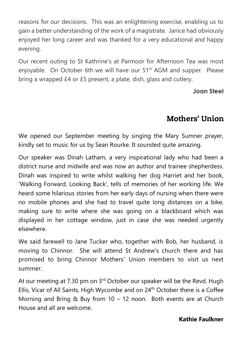reasons for our decisions. This was an enlightening exercise, enabling us to gain a better understanding of the work of a magistrate. Janice had obviously enjoyed her long career and was thanked for a very educational and happy evening.

Our recent outing to St Kathrine's at Parmoor for Afternoon Tea was most enjoyable. On October 6th we will have our 51<sup>st</sup> AGM and supper. Please bring a wrapped £4 or £5 present, a plate, dish, glass and cutlery.

### **Joan Steel**

## **Mothers' Union**

We opened our September meeting by singing the Mary Sumner prayer, kindly set to music for us by Sean Rourke. It sounded quite amazing.

Our speaker was Dinah Latham, a very inspirational lady who had been a district nurse and midwife and was now an author and trainee shepherdess. Dinah was inspired to write whilst walking her dog Harriet and her book, 'Walking Forward, Looking Back', tells of memories of her working life. We heard some hilarious stories from her early days of nursing when there were no mobile phones and she had to travel quite long distances on a bike, making sure to write where she was going on a blackboard which was displayed in her cottage window, just in case she was needed urgently elsewhere.

We said farewell to Jane Tucker who, together with Bob, her husband, is moving to Chinnor. She will attend St Andrew's church there and has promised to bring Chinnor Mothers' Union members to visit us next summer.

At our meeting at 7.30 pm on 3<sup>rd</sup> October our speaker will be the Revd. Hugh Ellis, Vicar of All Saints, High Wycombe and on 24<sup>th</sup> October there is a Coffee Morning and Bring & Buy from 10 – 12 noon. Both events are at Church House and all are welcome.

### **Kathie Faulkner**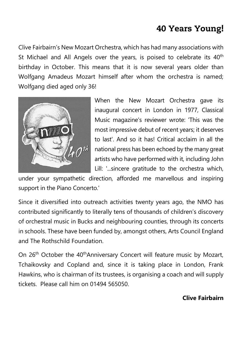## **40 Years Young!**

Clive Fairbairn's New Mozart Orchestra, which has had many associations with St Michael and All Angels over the years, is poised to celebrate its 40<sup>th</sup> birthday in October. This means that it is now several years older than Wolfgang Amadeus Mozart himself after whom the orchestra is named; Wolfgang died aged only 36!



When the New Mozart Orchestra gave its inaugural concert in London in 1977, Classical Music magazine's reviewer wrote: 'This was the most impressive debut of recent years; it deserves to last'. And so it has! Critical acclaim in all the national press has been echoed by the many great artists who have performed with it, including John Lill: '...sincere gratitude to the orchestra which,

under your sympathetic direction, afforded me marvellous and inspiring support in the Piano Concerto.'

Since it diversified into outreach activities twenty years ago, the NMO has contributed significantly to literally tens of thousands of children's discovery of orchestral music in Bucks and neighbouring counties, through its concerts in schools. These have been funded by, amongst others, Arts Council England and The Rothschild Foundation.

On 26<sup>th</sup> October the 40<sup>th</sup>Anniversary Concert will feature music by Mozart, Tchaikovsky and Copland and, since it is taking place in London, Frank Hawkins, who is chairman of its trustees, is organising a coach and will supply tickets. Please call him on 01494 565050.

### **Clive Fairbairn**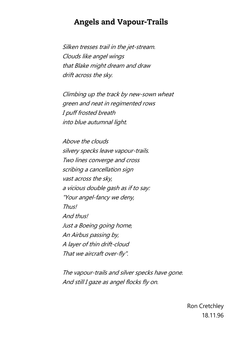### **Angels and Vapour-Trails**

Silken tresses trail in the jet-stream. Clouds like angel wings that Blake might dream and draw drift across the sky.

Climbing up the track by new-sown wheat green and neat in regimented rows I puff frosted breath into blue autumnal light.

Above the clouds silvery specks leave vapour-trails. Two lines converge and cross scribing a cancellation sign vast across the sky, a vicious double gash as if to say: "Your angel-fancy we deny, Thus! And thus! Just a Boeing going home, An Airbus passing by, A layer of thin drift-cloud That we aircraft over-fly".

The vapour-trails and silver specks have gone. And still I gaze as angel flocks fly on.

> Ron Cretchley 18.11.96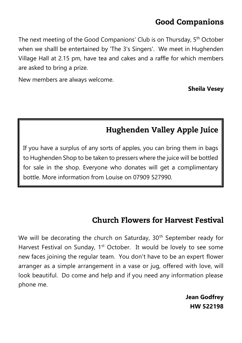## **Good Companions**

The next meeting of the Good Companions' Club is on Thursday, 5<sup>th</sup> October when we shalll be entertained by 'The 3's Singers'. We meet in Hughenden Village Hall at 2.15 pm, have tea and cakes and a raffle for which members are asked to bring a prize.

New members are always welcome.

**Sheila Vesey**

## **Hughenden Valley Apple Juice**

If you have a surplus of any sorts of apples, you can bring them in bags to Hughenden Shop to be taken to pressers where the juice will be bottled for sale in the shop. Everyone who donates will get a complimentary bottle. More information from Louise on 07909 527990.

### **Church Flowers for Harvest Festival**

We will be decorating the church on Saturday,  $30<sup>th</sup>$  September ready for Harvest Festival on Sunday,  $1<sup>st</sup>$  October. It would be lovely to see some new faces joining the regular team. You don't have to be an expert flower arranger as a simple arrangement in a vase or jug, offered with love, will look beautiful. Do come and help and if you need any information please phone me.

> **Jean Godfrey HW 522198**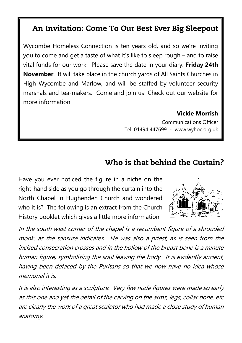## An Invitation: Come To Our Best Ever Big Sleepout

Wycombe Homeless Connection is ten years old, and so we're inviting you to come and get a taste of what it's like to sleep rough – and to raise vital funds for our work. Please save the date in your diary: **Friday 24th November**. It will take place in the church yards of All Saints Churches in High Wycombe and Marlow, and will be staffed by volunteer security marshals and tea-makers. Come and join us! Check out our website for more information.

### **Vickie Morrish**

Communications Officer Tel: 01494 447699 - www.wyhoc.org.uk

## Who is that behind the Curtain?

Have you ever noticed the figure in a niche on the right-hand side as you go through the curtain into the North Chapel in Hughenden Church and wondered who it is? The following is an extract from the Church History booklet which gives a little more information:



In the south west corner of the chapel is a recumbent figure of a shrouded monk, as the tonsure indicates. He was also a priest, as is seen from the incised consecration crosses and in the hollow of the breast bone is a minute human figure, symbolising the soul leaving the body. It is evidently ancient, having been defaced by the Puritans so that we now have no idea whose memorial it is.

It is also interesting as a sculpture. Very few nude figures were made so early as this one and yet the detail of the carving on the arms, legs, collar bone, etc are clearly the work of a great sculptor who had made a close study of human anatomy.'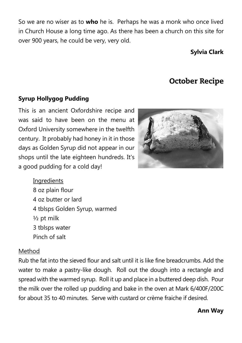So we are no wiser as to **who** he is. Perhaps he was a monk who once lived in Church House a long time ago. As there has been a church on this site for over 900 years, he could be very, very old.

### **Sylvia Clark**

## **October Recipe**

### **Syrup Hollygog Pudding**

This is an ancient Oxfordshire recipe and was said to have been on the menu at Oxford University somewhere in the twelfth century. It probably had honey in it in those days as Golden Syrup did not appear in our shops until the late eighteen hundreds. It's a good pudding for a cold day!



**Ingredients** 8 oz plain flour 4 oz butter or lard 4 tblsps Golden Syrup, warmed ½ pt milk 3 tblsps water Pinch of salt

#### Method

Rub the fat into the sieved flour and salt until it is like fine breadcrumbs. Add the water to make a pastry-like dough. Roll out the dough into a rectangle and spread with the warmed syrup. Roll it up and place in a buttered deep dish. Pour the milk over the rolled up pudding and bake in the oven at Mark 6/400F/200C for about 35 to 40 minutes. Serve with custard or crème fraiche if desired.

### **Ann Way**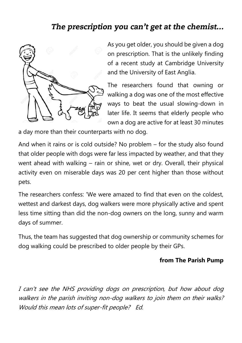## The prescription you can't get at the chemist...



As you get older, you should be given a dog on prescription. That is the unlikely finding of a recent study at Cambridge University and the University of East Anglia.

The researchers found that owning or walking a dog was one of the most effective ways to beat the usual slowing-down in later life. It seems that elderly people who own a dog are active for at least 30 minutes

a day more than their counterparts with no dog.

And when it rains or is cold outside? No problem – for the study also found that older people with dogs were far less impacted by weather, and that they went ahead with walking – rain or shine, wet or dry. Overall, their physical activity even on miserable days was 20 per cent higher than those without pets.

The researchers confess: 'We were amazed to find that even on the coldest, wettest and darkest days, dog walkers were more physically active and spent less time sitting than did the non-dog owners on the long, sunny and warm days of summer.

Thus, the team has suggested that dog ownership or community schemes for dog walking could be prescribed to older people by their GPs.

### **from The Parish Pump**

I can't see the NHS providing dogs on prescription, but how about dog walkers in the parish inviting non-dog walkers to join them on their walks? Would this mean lots of super-fit people? Ed.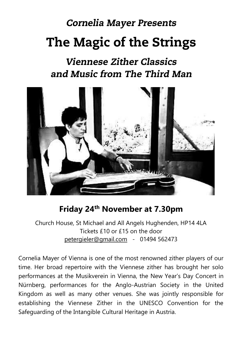# **Cornelia Mayer Presents The Magic of the Strings**

## **Viennese Zither Classics** and Music from The Third Man



## **Friday 24th November at 7.30pm**

Church House, St Michael and All Angels Hughenden, HP14 4LA Tickets £10 or £15 on the door [petergieler@gmail.com](mailto:petergieler@gmail.com) - 01494 562473

Cornelia Mayer of Vienna is one of the most renowned zither players of our time. Her broad repertoire with the Viennese zither has brought her solo performances at the Musikverein in Vienna, the New Year's Day Concert in Nürnberg, performances for the Anglo-Austrian Society in the United Kingdom as well as many other venues. She was jointly responsible for establishing the Viennese Zither in the UNESCO Convention for the Safeguarding of the Intangible Cultural Heritage in Austria.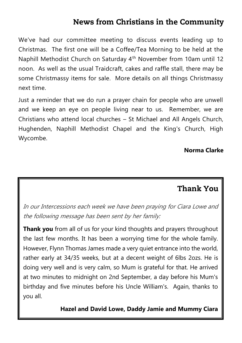## **News from Christians in the Community**

We've had our committee meeting to discuss events leading up to Christmas. The first one will be a Coffee/Tea Morning to be held at the Naphill Methodist Church on Saturday 4<sup>th</sup> November from 10am until 12 noon. As well as the usual Traidcraft, cakes and raffle stall, there may be some Christmassy items for sale. More details on all things Christmassy next time.

Just a reminder that we do run a prayer chain for people who are unwell and we keep an eye on people living near to us. Remember, we are Christians who attend local churches – St Michael and All Angels Church, Hughenden, Naphill Methodist Chapel and the King's Church, High Wycombe.

### **Norma Clarke**

## **Thank You**

In our Intercessions each week we have been praying for Ciara Lowe and the following message has been sent by her family:

**Thank you** from all of us for your kind thoughts and prayers throughout the last few months. It has been a worrying time for the whole family. However, Flynn Thomas James made a very quiet entrance into the world, rather early at 34/35 weeks, but at a decent weight of 6lbs 2ozs. He is doing very well and is very calm, so Mum is grateful for that. He arrived at two minutes to midnight on 2nd September, a day before his Mum's birthday and five minutes before his Uncle William's. Again, thanks to you all.

**Hazel and David Lowe, Daddy Jamie and Mummy Ciara**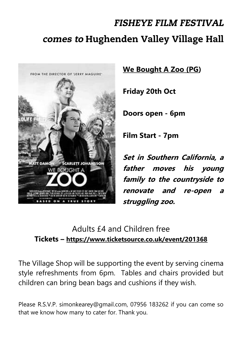# **FISHEYE FILM FESTIVAL** comes to Hughenden Valley Village Hall



**We Bought A Zoo (PG)**

**Friday 20th Oct**

**Doors open - 6pm**

**Film Start - 7pm** 

**Set in Southern California, a father moves his young family to the countryside to renovate and re-open a struggling zoo.**

## Adults £4 and Children free **Tickets – <https://www.ticketsource.co.uk/event/201368>**

The Village Shop will be supporting the event by serving cinema style refreshments from 6pm. Tables and chairs provided but children can bring bean bags and cushions if they wish.

Please R.S.V.P. simonkearey@gmail.com, 07956 183262 if you can come so that we know how many to cater for. Thank you.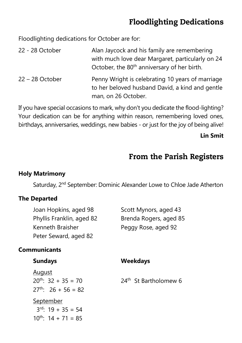## **Floodlighting Dedications**

Floodlighting dedications for October are for:

| 22 - 28 October   | Alan Jaycock and his family are remembering<br>with much love dear Margaret, particularly on 24             |
|-------------------|-------------------------------------------------------------------------------------------------------------|
| $22 - 28$ October | October, the 80 <sup>th</sup> anniversary of her birth.<br>Penny Wright is celebrating 10 years of marriage |
|                   | to her beloved husband David, a kind and gentle<br>man, on 26 October.                                      |

If you have special occasions to mark, why don't you dedicate the flood-lighting? Your dedication can be for anything within reason, remembering loved ones, birthdays, anniversaries, weddings, new babies - or just for the joy of being alive!

### **Lin Smit**

## From the Parish Registers

### **Holy Matrimony**

Saturday, 2<sup>nd</sup> September: Dominic Alexander Lowe to Chloe Jade Atherton

### **The Departed**

10<sup>th</sup>:  $14 + 71 = 85$ 

| Joan Hopkins, aged 98<br>Phyllis Franklin, aged 82<br>Kenneth Braisher<br>Peter Seward, aged 82 | Scott Mynors, aged 43<br>Brenda Rogers, aged 85<br>Peggy Rose, aged 92 |
|-------------------------------------------------------------------------------------------------|------------------------------------------------------------------------|
| <b>Communicants</b>                                                                             |                                                                        |
| <b>Sundays</b>                                                                                  | <b>Weekdays</b>                                                        |
| August<br>$20^{th}$ : 32 + 35 = 70<br>$27^{th}$ : 26 + 56 = 82                                  | $24th$ St Bartholomew 6                                                |
| <u>September</u><br>$3^{rd}$ : 19 + 35 = 54                                                     |                                                                        |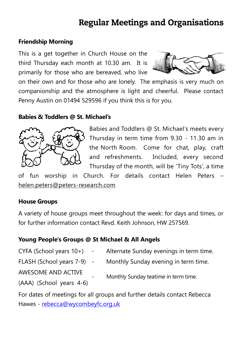## **Regular Meetings and Organisations**

### **Friendship Morning**

This is a get together in Church House on the third Thursday each month at 10.30 am. It is primarily for those who are bereaved, who live



on their own and for those who are lonely. The emphasis is very much on companionship and the atmosphere is light and cheerful. Please contact Penny Austin on 01494 529596 if you think this is for you.

#### **Babies & Toddlers @ St. Michael's**



Babies and Toddlers @ St. Michael's meets every Thursday in term time from 9.30 - 11.30 am in the North Room. Come for chat, play, craft and refreshments. Included, every second Thursday of the month, will be 'Tiny Tots', a time

of fun worship in Church. For details contact Helen Peters – [helen.peters@peters-research.com](mailto:helen.peters@peters-research.com)

#### **House Groups**

A variety of house groups meet throughout the week: for days and times, or for further information contact Revd. Keith Johnson, HW 257569.

#### **Young People's Groups @ St Michael & All Angels**

| $CYFA$ (School years $10+)$ -           | Alternate Sunday evenings in term time. |
|-----------------------------------------|-----------------------------------------|
| FLASH (School years 7-9) -              | Monthly Sunday evening in term time.    |
| AWESOME AND ACTIVE<br>$\qquad \qquad -$ | Monthly Sunday teatime in term time.    |
| (AAA) (School years 4-6)                |                                         |

For dates of meetings for all groups and further details contact Rebecca Hawes - [rebecca@wycombeyfc.org.uk](mailto:rebecca@wycombeyfc.org.uk)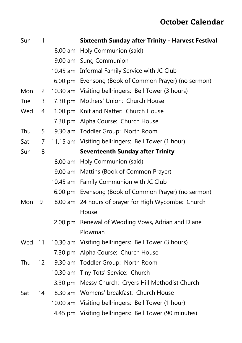## **October Calendar**

| Sun    | $\mathbf{1}$ | <b>Sixteenth Sunday after Trinity - Harvest Festival</b> |
|--------|--------------|----------------------------------------------------------|
|        |              | 8.00 am Holy Communion (said)                            |
|        |              | 9.00 am Sung Communion                                   |
|        |              | 10.45 am Informal Family Service with JC Club            |
|        |              | 6.00 pm Evensong (Book of Common Prayer) (no sermon)     |
| Mon    | 2            | 10.30 am Visiting bellringers: Bell Tower (3 hours)      |
| Tue    | 3            | 7.30 pm Mothers' Union: Church House                     |
| Wed    | 4            | 1.00 pm Knit and Natter: Church House                    |
|        |              | 7.30 pm Alpha Course: Church House                       |
| Thu    | 5            | 9.30 am Toddler Group: North Room                        |
| Sat    | 7            | 11.15 am Visiting bellringers: Bell Tower (1 hour)       |
| Sun    | 8            | <b>Seventeenth Sunday after Trinity</b>                  |
|        |              | 8.00 am Holy Communion (said)                            |
|        |              | 9.00 am Mattins (Book of Common Prayer)                  |
|        |              | 10.45 am Family Communion with JC Club                   |
|        |              | 6.00 pm Evensong (Book of Common Prayer) (no sermon)     |
| Mon    | 9            | 8.00 am 24 hours of prayer for High Wycombe: Church      |
|        |              | House                                                    |
|        |              | 2.00 pm Renewal of Wedding Vows, Adrian and Diane        |
|        |              | Plowman                                                  |
| Wed 11 |              | 10.30 am Visiting bellringers: Bell Tower (3 hours)      |
|        |              | 7.30 pm Alpha Course: Church House                       |
| Thu    |              | 12 9.30 am Toddler Group: North Room                     |
|        |              | 10.30 am Tiny Tots' Service: Church                      |
|        |              | 3.30 pm Messy Church: Cryers Hill Methodist Church       |
| Sat    | 14           | 8.30 am Womens' breakfast: Church House                  |
|        |              | 10.00 am Visiting bellringers: Bell Tower (1 hour)       |
|        |              | 4.45 pm Visiting bellringers: Bell Tower (90 minutes)    |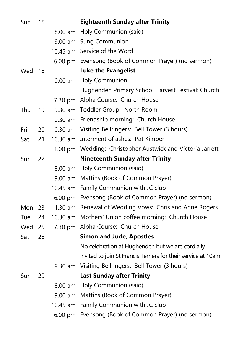| Sun    | 15 |                                        | <b>Eighteenth Sunday after Trinity</b>                        |  |
|--------|----|----------------------------------------|---------------------------------------------------------------|--|
|        |    |                                        | 8.00 am Holy Communion (said)                                 |  |
|        |    |                                        | 9.00 am Sung Communion                                        |  |
|        |    |                                        | 10.45 am Service of the Word                                  |  |
|        |    |                                        | 6.00 pm Evensong (Book of Common Prayer) (no sermon)          |  |
| Wed 18 |    |                                        | <b>Luke the Evangelist</b>                                    |  |
|        |    |                                        | 10.00 am Holy Communion                                       |  |
|        |    |                                        | Hughenden Primary School Harvest Festival: Church             |  |
|        |    |                                        | 7.30 pm Alpha Course: Church House                            |  |
| Thu    | 19 |                                        | 9.30 am Toddler Group: North Room                             |  |
|        |    |                                        | 10.30 am Friendship morning: Church House                     |  |
| Fri    | 20 |                                        | 10.30 am Visiting Bellringers: Bell Tower (3 hours)           |  |
| Sat    | 21 |                                        | 10.30 am Interment of ashes: Pat Kimber                       |  |
|        |    |                                        | 1.00 pm Wedding: Christopher Austwick and Victoria Jarrett    |  |
| Sun    | 22 | <b>Nineteenth Sunday after Trinity</b> |                                                               |  |
|        |    |                                        | 8.00 am Holy Communion (said)                                 |  |
|        |    |                                        | 9.00 am Mattins (Book of Common Prayer)                       |  |
|        |    |                                        | 10.45 am Family Communion with JC club                        |  |
|        |    |                                        | 6.00 pm Evensong (Book of Common Prayer) (no sermon)          |  |
| Mon    | 23 | $11.30$ am                             | Renewal of Wedding Vows: Chris and Anne Rogers                |  |
| Tue    | 24 | $10.30$ am                             | Mothers' Union coffee morning: Church House                   |  |
| Wed    | 25 |                                        | 7.30 pm Alpha Course: Church House                            |  |
| Sat    | 28 |                                        | <b>Simon and Jude, Apostles</b>                               |  |
|        |    |                                        | No celebration at Hughenden but we are cordially              |  |
|        |    |                                        | invited to join St Francis Terriers for their service at 10am |  |
|        |    |                                        | 9.30 am Visiting Bellringers: Bell Tower (3 hours)            |  |
| Sun    | 29 |                                        | <b>Last Sunday after Trinity</b>                              |  |
|        |    |                                        | 8.00 am Holy Communion (said)                                 |  |
|        |    |                                        | 9.00 am Mattins (Book of Common Prayer)                       |  |
|        |    |                                        | 10.45 am Family Communion with JC club                        |  |
|        |    | $6.00 \text{ pm}$                      | Evensong (Book of Common Prayer) (no sermon)                  |  |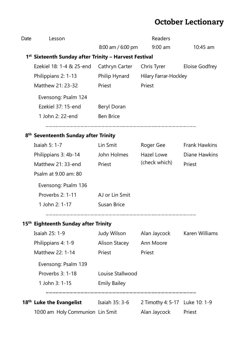## **October Lectionary**

| Date | Lesson                                                            |                     | Readers                        |                      |
|------|-------------------------------------------------------------------|---------------------|--------------------------------|----------------------|
|      |                                                                   | 8:00 am / 6:00 pm   | $9:00$ am                      | $10:45$ am           |
|      | 1 <sup>st</sup> Sixteenth Sunday after Trinity – Harvest Festival |                     |                                |                      |
|      | Ezekiel 18: 1-4 & 25-end                                          | Cathryn Carter      | Chris Tyrer                    | Eloise Godfrey       |
|      | Philippians 2: 1-13                                               | Philip Hynard       | Hilary Farrar-Hockley          |                      |
|      | Matthew 21: 23-32                                                 | Priest              | Priest                         |                      |
|      | Evensong: Psalm 124                                               |                     |                                |                      |
|      | Ezekiel 37: 15-end                                                | Beryl Doran         |                                |                      |
|      | 1 John 2: 22-end                                                  | <b>Ben Brice</b>    |                                |                      |
|      | 8 <sup>th</sup> Seventeenth Sunday after Trinity                  |                     |                                |                      |
|      | <b>Isaiah 5: 1-7</b>                                              | Lin Smit            | Roger Gee                      | <b>Frank Hawkins</b> |
|      | Philippians 3: 4b-14                                              | John Holmes         | <b>Hazel Lowe</b>              | Diane Hawkins        |
|      | Matthew 21: 33-end                                                | Priest              | (check which)                  | Priest               |
|      | Psalm at 9.00 am: 80                                              |                     |                                |                      |
|      | Evensong: Psalm 136                                               |                     |                                |                      |
|      | Proverbs 2: 1-11                                                  | AJ or Lin Smit      |                                |                      |
|      | 1 John 2: 1-17                                                    | Susan Brice         |                                |                      |
|      | 15 <sup>th</sup> Eighteenth Sunday after Trinity                  |                     |                                |                      |
|      | Isaiah 25: 1-9                                                    | Judy Wilson         | Alan Jaycock                   | Karen Williams       |
|      | Philippians 4: 1-9                                                | Alison Stacey       | Ann Moore                      |                      |
|      | Matthew 22: 1-14                                                  | Priest              | Priest                         |                      |
|      | Evensong: Psalm 139                                               |                     |                                |                      |
|      | Proverbs 3: 1-18                                                  | Louise Stallwood    |                                |                      |
|      | 1 John 3: 1-15                                                    | <b>Emily Bailey</b> |                                |                      |
|      | <b>18<sup>th</sup> Luke the Evangelist</b> Isaiah 35: 3-6         |                     | 2 Timothy 4: 5-17 Luke 10: 1-9 |                      |
|      | 10:00 am Holy Communion Lin Smit                                  |                     | Alan Jaycock                   | Priest               |
|      |                                                                   |                     |                                |                      |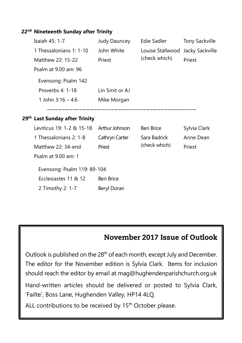### **22nd Nineteenth Sunday after Trinity**

| Isaiah 45: 1-7                             | Judy Dauncey     | Edie Sadler      | <b>Tony Sackville</b> |
|--------------------------------------------|------------------|------------------|-----------------------|
| 1 Thessalonians 1: 1-10                    | John White       | Louise Stallwood | Jacky Sackville       |
| Matthew 22: 15-22                          | Priest           | (check which)    | Priest                |
| Psalm at 9.00 am: 96                       |                  |                  |                       |
| Evensong: Psalm 142                        |                  |                  |                       |
| Proverbs 4: 1-18                           | Lin Smit or AJ   |                  |                       |
| 1 John $3:16 - 4:6$                        | Mike Morgan      |                  |                       |
|                                            |                  |                  |                       |
| 29 <sup>th</sup> Last Sunday after Trinity |                  |                  |                       |
| Leviticus 19: 1-2 & 15-18                  | Arthur Johnson   | <b>Ben Brice</b> | Sylvia Clark          |
| 1 Thessalonians 2: 1-8                     | Cathryn Carter   | Sara Badrick     | Anne Dean             |
| Matthew 22: 34-end                         | Priest           | (check which)    | Priest                |
|                                            |                  |                  |                       |
| Psalm at 9.00 am: 1                        |                  |                  |                       |
| Evensong: Psalm 119: 89-104                |                  |                  |                       |
| Ecclesiastes 11 & 12                       | <b>Ben Brice</b> |                  |                       |
| 2 Timothy 2: 1-7                           | Beryl Doran      |                  |                       |

## November 2017 Issue of Outlook

Outlook is published on the 28<sup>th</sup> of each month, except July and December. The editor for the November edition is Sylvia Clark. Items for inclusion should reach the editor by email at mag@hughendenparishchurch.org.uk

Hand-written articles should be delivered or posted to Sylvia Clark, 'Failte', Boss Lane, Hughenden Valley, HP14 4LQ.

ALL contributions to be received by 15<sup>th</sup> October please.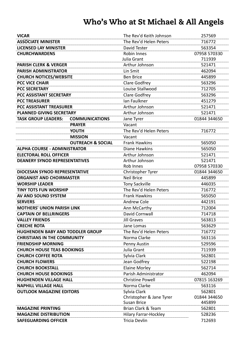## Who's Who at St Michael & All Angels

| <b>VICAR</b>                            |                              | The Rev'd Keith Johnson      | 257569       |
|-----------------------------------------|------------------------------|------------------------------|--------------|
| <b>ASSOCIATE MINISTER</b>               |                              | The Rev'd Helen Peters       | 716772       |
| <b>LICENSED LAY MINISTER</b>            |                              | David Tester                 | 563354       |
| <b>CHURCHWARDENS</b>                    |                              | Robin Innes                  | 07958 570330 |
|                                         |                              | Julia Grant                  | 711939       |
| <b>PARISH CLERK &amp; VERGER</b>        |                              | Arthur Johnson               | 521471       |
| <b>PARISH ADMINISTRATOR</b>             |                              | Lin Smit                     | 462094       |
| <b>CHURCH NOTICES/WEBSITE</b>           |                              | <b>Ben Brice</b>             | 445899       |
| <b>PCC VICE CHAIR</b>                   |                              | <b>Clare Godfrey</b>         | 563296       |
| <b>PCC SECRETARY</b>                    |                              | Louise Stallwood             | 712705       |
| PCC ASSISTANT SECRETARY                 |                              | Clare Godfrey                | 563296       |
| <b>PCC TREASURER</b>                    |                              | Ian Faulkner                 | 451279       |
| <b>PCC ASSISTANT TREASURER</b>          |                              | Arthur Johnson               | 521471       |
| <b>PLANNED GIVING SECRETARY</b>         |                              | Arthur Johnson               | 521471       |
| <b>TASK GROUP LEADERS:</b>              | <b>COMMUNICATIONS</b>        | Jane Tyrer                   | 01844 344650 |
|                                         | <b>PRAYER</b>                | Vacant                       |              |
|                                         | <b>YOUTH</b>                 | The Rev'd Helen Peters       | 716772       |
|                                         | <b>MISSION</b>               | Vacant                       |              |
|                                         | <b>OUTREACH &amp; SOCIAL</b> | <b>Frank Hawkins</b>         | 565050       |
| <b>ALPHA COURSE - ADMINISTRATOR</b>     |                              | Diane Hawkins                | 565050       |
| <b>ELECTORAL ROLL OFFICER</b>           |                              | Arthur Johnson               | 521471       |
| <b>DEANERY SYNOD REPRESENTATIVES</b>    |                              | Arthur Johnson               | 521471       |
|                                         |                              | Rob Innes                    | 07958 570330 |
| <b>DIOCESAN SYNOD REPRESENTATIVE</b>    |                              | Christopher Tyrer            | 01844 344650 |
| <b>ORGANIST AND CHOIRMASTER</b>         |                              | <b>Neil Brice</b>            | 445899       |
| <b>WORSHIP LEADER</b>                   |                              | <b>Tony Sackville</b>        | 446035       |
| <b>TINY TOTS FUN WORSHIP</b>            |                              | The Rev'd Helen Peters       | 716772       |
| AV AND SOUND SYSTEM                     |                              | <b>Frank Hawkins</b>         | 565050       |
| <b>SERVERS</b>                          |                              | <b>Andrew Cole</b>           | 442191       |
| <b>MOTHERS' UNION PARISH LINK</b>       |                              | Ann McCarthy                 | 712004       |
| <b>CAPTAIN OF BELLRINGERS</b>           |                              | David Cornwall               | 714718       |
| <b>VALLEY FRIENDS</b>                   |                              | <b>Jill Graves</b>           | 563813       |
| <b>CRECHE ROTA</b>                      |                              | Jane Lomas                   | 563629       |
| <b>HUGHENDEN BABY AND TODDLER GROUP</b> |                              | The Rev'd Helen Peters       | 716772       |
| <b>CHRISTIANS IN THE COMMUNITY</b>      |                              | Norma Clarke                 | 563116       |
| <b>FRIENDSHIP MORNING</b>               |                              | Penny Austin                 | 529596       |
| <b>CHURCH HOUSE TEAS BOOKINGS</b>       |                              | Julia Grant                  | 711939       |
| <b>CHURCH COFFEE ROTA</b>               |                              | Sylvia Clark                 | 562801       |
| <b>CHURCH FLOWERS</b>                   |                              | Jean Godfrey                 | 522198       |
| <b>CHURCH BOOKSTALL</b>                 |                              | <b>Elaine Morley</b>         | 562714       |
| <b>CHURCH HOUSE BOOKINGS</b>            |                              | Parish Administrator         | 462094       |
| <b>HUGHENDEN VILLAGE HALL</b>           |                              | <b>Christine Powell</b>      | 07815 163269 |
| <b>NAPHILL VILLAGE HALL</b>             |                              | Norma Clarke                 | 563116       |
| <b>OUTLOOK MAGAZINE EDITORS</b>         |                              | Sylvia Clark                 | 562801       |
|                                         |                              | Christopher & Jane Tyrer     | 01844 344650 |
|                                         |                              | <b>Susan Brice</b>           | 445899       |
| <b>MAGAZINE PRINTING</b>                |                              | Brian Clark & Team           | 562801       |
| <b>MAGAZINE DISTRIBUTION</b>            |                              | <b>Hilary Farrar-Hockley</b> | 528236       |
| <b>SAFEGUARDING OFFICER</b>             |                              | Tricia Devlin                | 712693       |